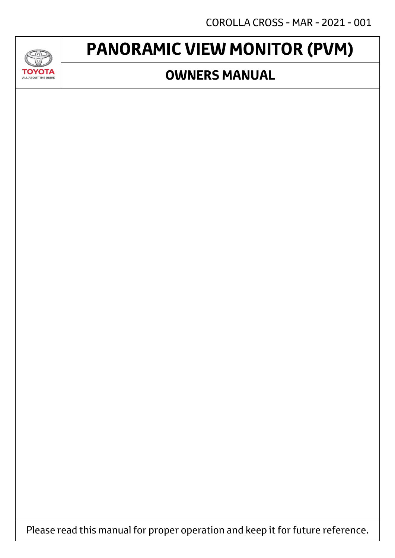COROLLA CROSS - MAR - 2021 - 001

# **PANORAMIC VIEW MONITOR (PVM)**

JAD

**TOYOTA** ALL ABOUT THE DRIVE

### **OWNERS MANUAL**

Please read this manual for proper operation and keep it for future reference.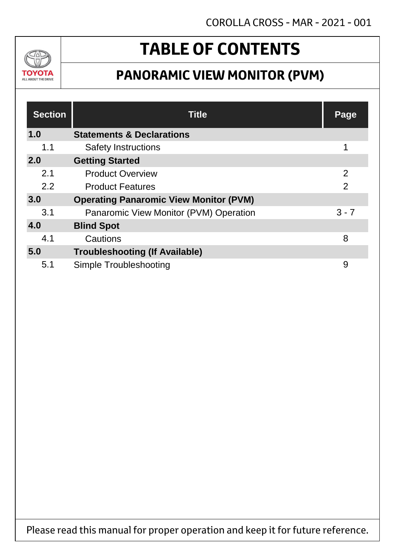

## **TABLE OF CONTENTS**

### **PANORAMIC VIEW MONITOR (PVM)**

| <b>Section</b> | <b>Title</b>                                  | <b>Page</b>    |  |
|----------------|-----------------------------------------------|----------------|--|
| 1.0            | <b>Statements &amp; Declarations</b>          |                |  |
| 1.1            | <b>Safety Instructions</b>                    |                |  |
| 2.0            | <b>Getting Started</b>                        |                |  |
| 2.1            | <b>Product Overview</b>                       | $\overline{2}$ |  |
| 2.2            | <b>Product Features</b>                       | $\overline{2}$ |  |
| 3.0            | <b>Operating Panaromic View Monitor (PVM)</b> |                |  |
| 3.1            | Panaromic View Monitor (PVM) Operation        | $3 - 7$        |  |
| 4.0            | <b>Blind Spot</b>                             |                |  |
| 4.1            | Cautions                                      | 8              |  |
| 5.0            | <b>Troubleshooting (If Available)</b>         |                |  |
| 5.1            | Simple Troubleshooting                        | 9              |  |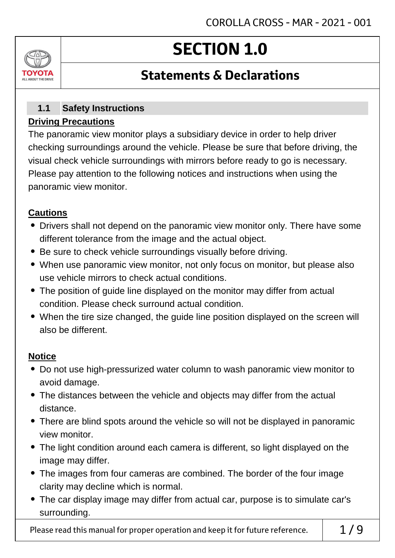## **SECTION 1.0**

### **Statements & Declarations**

#### **Safety Instructions Driving Precautions 1.1**

The panoramic view monitor plays a subsidiary device in order to help driver checking surroundings around the vehicle. Please be sure that before driving, the visual check vehicle surroundings with mirrors before ready to go is necessary. Please pay attention to the following notices and instructions when using the panoramic view monitor.

#### **Cautions**

ALL AROUT THE DRI

- Drivers shall not depend on the panoramic view monitor only. There have some different tolerance from the image and the actual object.
- Be sure to check vehicle surroundings visually before driving.
- When use panoramic view monitor, not only focus on monitor, but please also use vehicle mirrors to check actual conditions.
- The position of guide line displayed on the monitor may differ from actual condition. Please check surround actual condition.
- When the tire size changed, the guide line position displayed on the screen will also be different.

### **Notice**

- Do not use high-pressurized water column to wash panoramic view monitor to avoid damage.
- The distances between the vehicle and objects may differ from the actual distance.
- There are blind spots around the vehicle so will not be displayed in panoramic view monitor.
- The light condition around each camera is different, so light displayed on the image may differ.
- The images from four cameras are combined. The border of the four image clarity may decline which is normal.
- The car display image may differ from actual car, purpose is to simulate car's surrounding.

Please read this manual for proper operation and keep it for future reference.  $\begin{array}{c} \vert \ 1/9 \end{array}$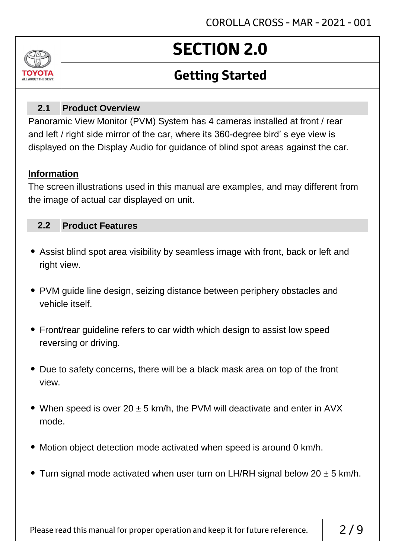

# **SECTION 2.0**

## **Getting Started**

#### **Product Overview 2.1**

Panoramic View Monitor (PVM) System has 4 cameras installed at front / rear and left / right side mirror of the car, where its 360-degree bird' s eye view is displayed on the Display Audio for guidance of blind spot areas against the car.

#### **Information**

The screen illustrations used in this manual are examples, and may different from the image of actual car displayed on unit.

#### **Product Features 2.2**

- Assist blind spot area visibility by seamless image with front, back or left and right view.
- PVM guide line design, seizing distance between periphery obstacles and vehicle itself.
- Front/rear guideline refers to car width which design to assist low speed reversing or driving.
- Due to safety concerns, there will be a black mask area on top of the front view.
- When speed is over  $20 \pm 5$  km/h, the PVM will deactivate and enter in AVX mode.
- Motion object detection mode activated when speed is around 0 km/h.
- Turn signal mode activated when user turn on LH/RH signal below 20  $\pm$  5 km/h.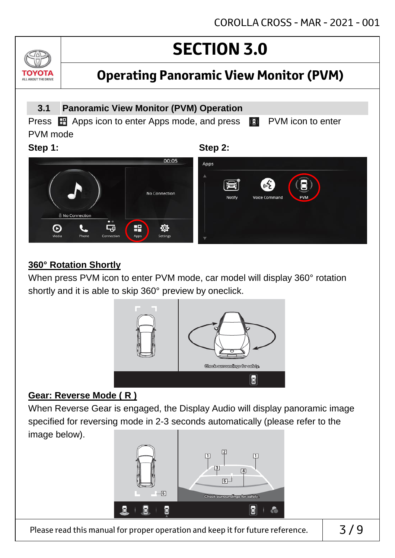## **Operating Panoramic View Monitor (PVM)**

#### **3.1 Panoramic View Monitor (PVM) Operation** Press **H** Apps icon to enter Apps mode, and press **C** PVM icon to enter PVM mode **Step 1: Step 2:** 00:05 Apps No Connection Ęū O H ✿ Settings

### **360° Rotation Shortly**

TOVOIL ALL ABOUT THE DRIVE

> When press PVM icon to enter PVM mode, car model will display 360° rotation shortly and it is able to skip 360° preview by oneclick.



#### **Gear: Reverse Mode ( R )**

When Reverse Gear is engaged, the Display Audio will display panoramic image specified for reversing mode in 2-3 seconds automatically (please refer to the image below).



Please read this manual for proper operation and keep it for future reference.  $\begin{array}{c} \n\end{array}$  3/9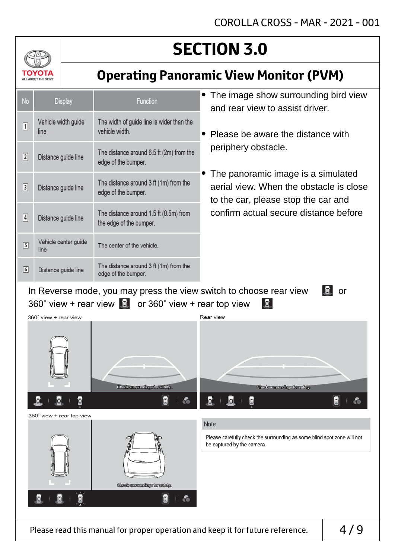## **Operating Panoramic View Monitor (PVM)**

| <b>No</b>                                                                        | <b>Display</b>               | <b>Function</b>                                                   | • The image show surrounding bird view<br>and rear view to assist driver.                                                                     |  |  |  |
|----------------------------------------------------------------------------------|------------------------------|-------------------------------------------------------------------|-----------------------------------------------------------------------------------------------------------------------------------------------|--|--|--|
| $\boxed{1}$                                                                      | Vehicle width guide<br>line  | The width of guide line is wider than the<br>vehicle width.       | • Please be aware the distance with                                                                                                           |  |  |  |
| $\sqrt{2}$                                                                       | Distance guide line          | The distance around 6.5 ft (2m) from the<br>edge of the bumper.   | periphery obstacle.<br>• The panoramic image is a simulated<br>aerial view. When the obstacle is close<br>to the car, please stop the car and |  |  |  |
| $\boxed{3}$                                                                      | Distance guide line          | The distance around 3 ft (1m) from the<br>edge of the bumper.     |                                                                                                                                               |  |  |  |
| $\sqrt{4}$                                                                       | Distance guide line          | The distance around 1.5 ft (0.5m) from<br>the edge of the bumper. | confirm actual secure distance before                                                                                                         |  |  |  |
| $\boxed{5}$                                                                      | Vehicle center guide<br>line | The center of the vehicle.                                        |                                                                                                                                               |  |  |  |
| $\boxed{6}$                                                                      | Distance guide line          | The distance around 3 ft (1m) from the<br>edge of the bumper.     |                                                                                                                                               |  |  |  |
| In Reverse mode, you may press the view switch to choose rear view<br>$\alpha$ r |                              |                                                                   |                                                                                                                                               |  |  |  |

701

ΤΟΥΩΤΑ ALL ABOUT THE DRIVE

> In Reverse mode, you may press the view switch to choose rear view 360° view + rear view  $\mathbb{E}$  or 360° view + rear top view  $\mathbb{E}$

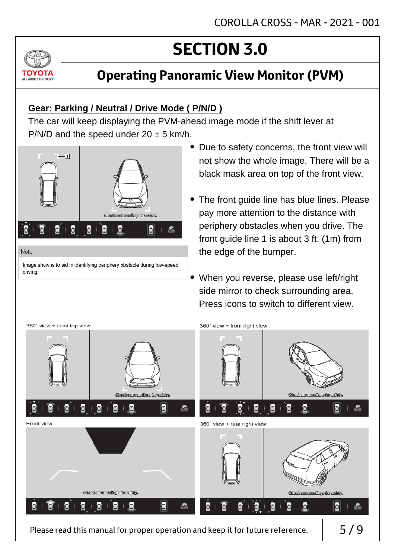

### **Gear: Parking / Neutral / Drive Mode ( P/N/D )**

The car will keep displaying the PVM-ahead image mode if the shift lever at P/N/D and the speed under  $20 \pm 5$  km/h.



#### Note

ALL ABOUT THE DRIVE

Image show is to aid in identifying periphery obstacle during low-speed driving.

- Due to safety concerns, the front view will not show the whole image. There will be a black mask area on top of the front view.
- The front guide line has blue lines. Please pay more attention to the distance with periphery obstacles when you drive. The front guide line 1 is about 3 ft. (1m) from the edge of the bumper.
- When you reverse, please use left/right side mirror to check surrounding area. Press icons to switch to different view.



Please read this manual for proper operation and keep it for future reference.  $\vert$  5/9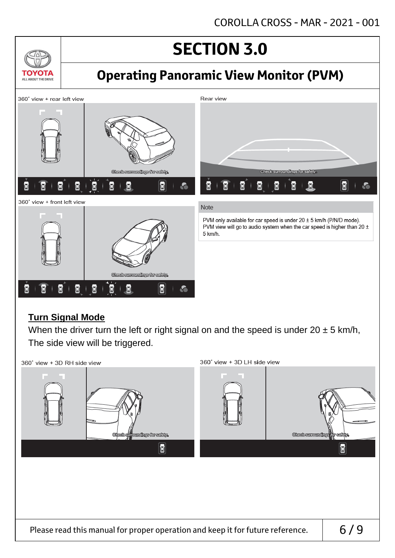

#### **Turn Signal Mode**

When the driver turn the left or right signal on and the speed is under  $20 \pm 5$  km/h, The side view will be triggered.

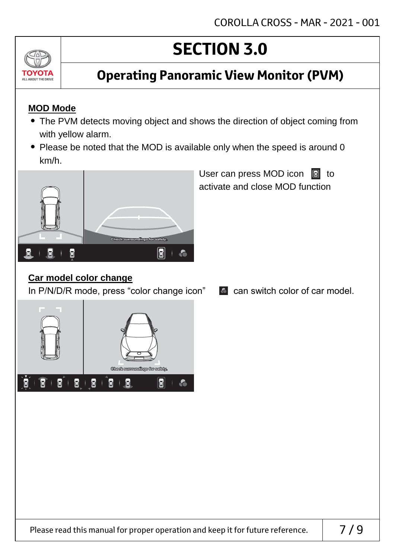

### **Operating Panoramic View Monitor (PVM)**

### **MOD Mode**

- The PVM detects moving object and shows the direction of object coming from with yellow alarm.
- Please be noted that the MOD is available only when the speed is around 0 km/h.



User can press MOD icon  $\boxed{a}$  to activate and close MOD function

### **Car model color change**

In P/N/D/R mode, press "color change icon"  $\bullet$  can switch color of car model.

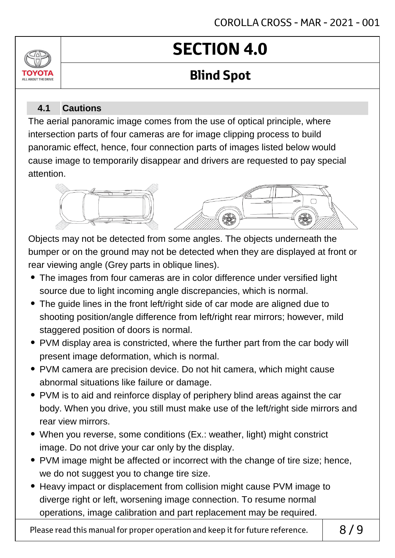# **SECTION 4.0**

## **Blind Spot**

#### **Cautions 4.1**

ALL AROUT THE DRIV

The aerial panoramic image comes from the use of optical principle, where intersection parts of four cameras are for image clipping process to build panoramic effect, hence, four connection parts of images listed below would cause image to temporarily disappear and drivers are requested to pay special attention.



Objects may not be detected from some angles. The objects underneath the bumper or on the ground may not be detected when they are displayed at front or rear viewing angle (Grey parts in oblique lines).

- The images from four cameras are in color difference under versified light source due to light incoming angle discrepancies, which is normal.
- The guide lines in the front left/right side of car mode are aligned due to shooting position/angle difference from left/right rear mirrors; however, mild staggered position of doors is normal.
- PVM display area is constricted, where the further part from the car body will present image deformation, which is normal.
- PVM camera are precision device. Do not hit camera, which might cause abnormal situations like failure or damage.
- PVM is to aid and reinforce display of periphery blind areas against the car body. When you drive, you still must make use of the left/right side mirrors and rear view mirrors.
- When you reverse, some conditions (Ex.: weather, light) might constrict image. Do not drive your car only by the display.
- PVM image might be affected or incorrect with the change of tire size; hence, we do not suggest you to change tire size.
- Heavy impact or displacement from collision might cause PVM image to diverge right or left, worsening image connection. To resume normal operations, image calibration and part replacement may be required.

Please read this manual for proper operation and keep it for future reference.  $\begin{array}{c} \mid \\ \mid \quad \mathsf{8} \text{/} \mathsf{9} \end{array}$